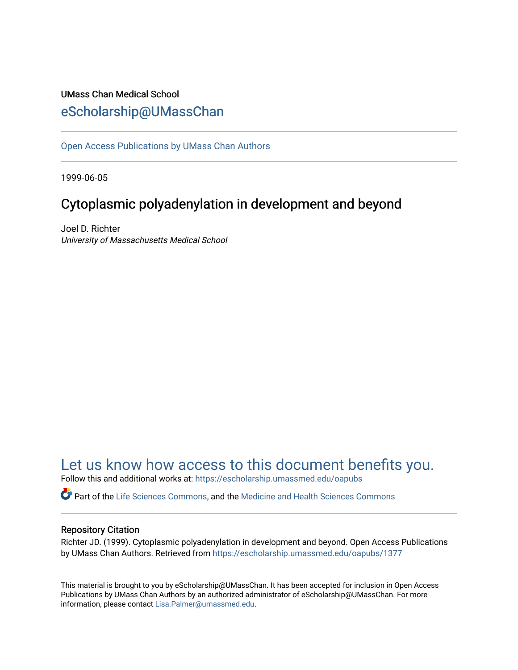# UMass Chan Medical School [eScholarship@UMassChan](https://escholarship.umassmed.edu/)

[Open Access Publications by UMass Chan Authors](https://escholarship.umassmed.edu/oapubs) 

1999-06-05

# Cytoplasmic polyadenylation in development and beyond

Joel D. Richter University of Massachusetts Medical School

# [Let us know how access to this document benefits you.](https://arcsapps.umassmed.edu/redcap/surveys/?s=XWRHNF9EJE)

Follow this and additional works at: [https://escholarship.umassmed.edu/oapubs](https://escholarship.umassmed.edu/oapubs?utm_source=escholarship.umassmed.edu%2Foapubs%2F1377&utm_medium=PDF&utm_campaign=PDFCoverPages) 

Part of the [Life Sciences Commons,](http://network.bepress.com/hgg/discipline/1016?utm_source=escholarship.umassmed.edu%2Foapubs%2F1377&utm_medium=PDF&utm_campaign=PDFCoverPages) and the [Medicine and Health Sciences Commons](http://network.bepress.com/hgg/discipline/648?utm_source=escholarship.umassmed.edu%2Foapubs%2F1377&utm_medium=PDF&utm_campaign=PDFCoverPages)

# Repository Citation

Richter JD. (1999). Cytoplasmic polyadenylation in development and beyond. Open Access Publications by UMass Chan Authors. Retrieved from [https://escholarship.umassmed.edu/oapubs/1377](https://escholarship.umassmed.edu/oapubs/1377?utm_source=escholarship.umassmed.edu%2Foapubs%2F1377&utm_medium=PDF&utm_campaign=PDFCoverPages) 

This material is brought to you by eScholarship@UMassChan. It has been accepted for inclusion in Open Access Publications by UMass Chan Authors by an authorized administrator of eScholarship@UMassChan. For more information, please contact [Lisa.Palmer@umassmed.edu.](mailto:Lisa.Palmer@umassmed.edu)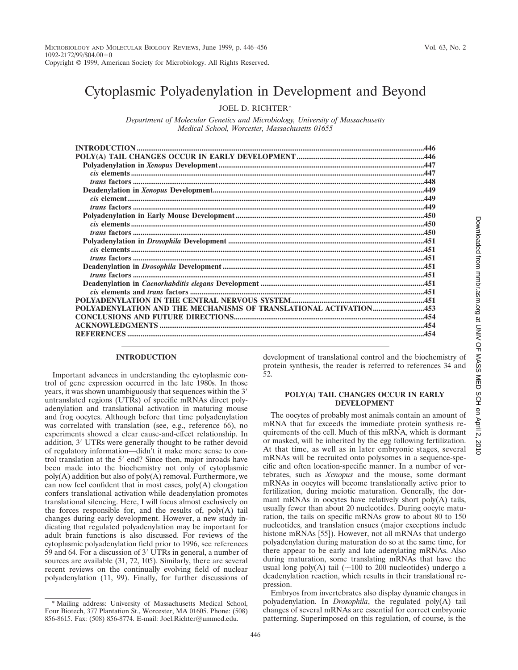# Cytoplasmic Polyadenylation in Development and Beyond

JOEL D. RICHTER\*

*Department of Molecular Genetics and Microbiology, University of Massachusetts Medical School, Worcester, Massachusetts 01655*

| POLYADENYLATION AND THE MECHANISMS OF TRANSLATIONAL ACTIVATION453 |  |
|-------------------------------------------------------------------|--|
|                                                                   |  |
|                                                                   |  |
|                                                                   |  |
|                                                                   |  |

### **INTRODUCTION**

 $1092 - 2172/99/\$04.00 + 0$ 

Important advances in understanding the cytoplasmic control of gene expression occurred in the late 1980s. In those years, it was shown unambiguously that sequences within the 3<sup>'</sup> untranslated regions (UTRs) of specific mRNAs direct polyadenylation and translational activation in maturing mouse and frog oocytes. Although before that time polyadenylation was correlated with translation (see, e.g., reference 66), no experiments showed a clear cause-and-effect relationship. In addition, 3' UTRs were generally thought to be rather devoid of regulatory information—didn't it make more sense to control translation at the 5' end? Since then, major inroads have been made into the biochemistry not only of cytoplasmic poly(A) addition but also of poly(A) removal. Furthermore, we can now feel confident that in most cases, poly(A) elongation confers translational activation while deadenylation promotes translational silencing. Here, I will focus almost exclusively on the forces responsible for, and the results of,  $poly(A)$  tail changes during early development. However, a new study indicating that regulated polyadenylation may be important for adult brain functions is also discussed. For reviews of the cytoplasmic polyadenylation field prior to 1996, see references 59 and 64. For a discussion of  $3'$  UTRs in general, a number of sources are available (31, 72, 105). Similarly, there are several recent reviews on the continually evolving field of nuclear polyadenylation (11, 99). Finally, for further discussions of

development of translational control and the biochemistry of protein synthesis, the reader is referred to references 34 and 52.

## **POLY(A) TAIL CHANGES OCCUR IN EARLY DEVELOPMENT**

The oocytes of probably most animals contain an amount of mRNA that far exceeds the immediate protein synthesis requirements of the cell. Much of this mRNA, which is dormant or masked, will be inherited by the egg following fertilization. At that time, as well as in later embryonic stages, several mRNAs will be recruited onto polysomes in a sequence-specific and often location-specific manner. In a number of vertebrates, such as *Xenopus* and the mouse, some dormant mRNAs in oocytes will become translationally active prior to fertilization, during meiotic maturation. Generally, the dormant mRNAs in oocytes have relatively short poly(A) tails, usually fewer than about 20 nucleotides. During oocyte maturation, the tails on specific mRNAs grow to about 80 to 150 nucleotides, and translation ensues (major exceptions include histone mRNAs [55]). However, not all mRNAs that undergo polyadenylation during maturation do so at the same time, for there appear to be early and late adenylating mRNAs. Also during maturation, some translating mRNAs that have the usual long poly(A) tail ( $\sim$ 100 to 200 nucleotides) undergo a deadenylation reaction, which results in their translational repression.

Embryos from invertebrates also display dynamic changes in polyadenylation. In *Drosophila*, the regulated poly(A) tail changes of several mRNAs are essential for correct embryonic patterning. Superimposed on this regulation, of course, is the

<sup>\*</sup> Mailing address: University of Massachusetts Medical School, Four Biotech, 377 Plantation St., Worcester, MA 01605. Phone: (508) 856-8615. Fax: (508) 856-8774. E-mail: Joel.Richter@ummed.edu.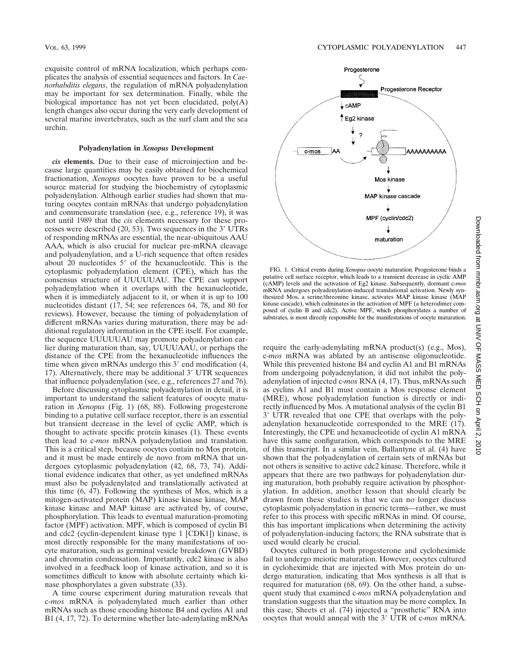exquisite control of mRNA localization, which perhaps complicates the analysis of essential sequences and factors. In *Caenorhabditis elegans*, the regulation of mRNA polyadenylation may be important for sex determination. Finally, while the biological importance has not yet been elucidated, poly(A) length changes also occur during the very early development of several marine invertebrates, such as the surf clam and the sea urchin.

# **Polyadenylation in** *Xenopus* **Development**

*cis* **elements.** Due to their ease of microinjection and because large quantities may be easily obtained for biochemical fractionation, *Xenopus* oocytes have proven to be a useful source material for studying the biochemistry of cytoplasmic polyadenylation. Although earlier studies had shown that maturing oocytes contain mRNAs that undergo polyadenylation and commensurate translation (see, e.g., reference 19), it was not until 1989 that the *cis* elements necessary for these processes were described  $(20, 53)$ . Two sequences in the 3 $'$  UTRs of responding mRNAs are essential, the near-ubiquitous AAU AAA, which is also crucial for nuclear pre-mRNA cleavage and polyadenylation, and a U-rich sequence that often resides about  $20$  nucleotides  $5'$  of the hexanucleotide. This is the cytoplasmic polyadenylation element (CPE), which has the consensus structure of UUUUUAU. The CPE can support polyadenylation when it overlaps with the hexanucleotide, when it is immediately adjacent to it, or when it is up to 100 nucleotides distant (17, 54; see references 64, 78, and 80 for reviews). However, because the timing of polyadenylation of different mRNAs varies during maturation, there may be additional regulatory information in the CPE itself. For example, the sequence UUUUUAU may promote polyadenylation earlier during maturation than, say, UUUUAAU, or perhaps the distance of the CPE from the hexanucleotide influences the time when given mRNAs undergo this  $3'$  end modification  $(4, 4)$ 17). Alternatively, there may be additional 3' UTR sequences that influence polyadenylation (see, e.g., references 27 and 76).

Before discussing cytoplasmic polyadenylation in detail, it is important to understand the salient features of oocyte maturation in *Xenopus* (Fig. 1) (68, 88). Following progesterone binding to a putative cell surface receptor, there is an essential but transient decrease in the level of cyclic AMP, which is thought to activate specific protein kinases (1). These events then lead to c-*mos* mRNA polyadenylation and translation. This is a critical step, because oocytes contain no Mos protein, and it must be made entirely de novo from mRNA that undergoes cytoplasmic polyadenylation (42, 68, 73, 74). Additional evidence indicates that other, as yet undefined mRNAs must also be polyadenylated and translationally activated at this time (6, 47). Following the synthesis of Mos, which is a mitogen-activated protein (MAP) kinase kinase kinase, MAP kinase kinase and MAP kinase are activated by, of course, phosphorylation. This leads to eventual maturation-promoting factor (MPF) activation. MPF, which is composed of cyclin B1 and cdc2 (cyclin-dependent kinase type 1 [CDK1]) kinase, is most directly responsible for the many manifestations of oocyte maturation, such as germinal vesicle breakdown (GVBD) and chromatin condensation. Importantly, cdc2 kinase is also involved in a feedback loop of kinase activation, and so it is sometimes difficult to know with absolute certainty which kinase phosphorylates a given substrate (33).

A time course experiment during maturation reveals that c-*mos* mRNA is polyadenylated much earlier than other mRNAs such as those encoding histone B4 and cyclins A1 and B1 (4, 17, 72). To determine whether late-adenylating mRNAs



FIG. 1. Critical events during *Xenopus* oocyte maturation. Progesterone binds a putative cell surface receptor, which leads to a transient decrease in cyclic AMP (cAMP) levels and the activation of Eg2 kinase. Subsequently, dormant c-*mos* mRNA undergoes polyadenylation-induced translational activation. Newly synthesized Mos, a serine/threonine kinase, activates MAP kinase kinase (MAP kinase cascade), which culminates in the activation of MPF (a heterodimer composed of cyclin B and cdc2). Active MPF, which phosphorylates a number of substrates, is most directly responsible for the manifestations of oocyte maturation.

require the early-adenylating mRNA product(s) (e.g., Mos), c-*mos* mRNA was ablated by an antisense oligonucleotide. While this prevented histone B4 and cyclin A1 and B1 mRNAs from undergoing polyadenylation, it did not inhibit the polyadenylation of injected c-*mos* RNA (4, 17). Thus, mRNAs such as cyclins A1 and B1 must contain a Mos response element (MRE), whose polyadenylation function is directly or indirectly influenced by Mos. A mutational analysis of the cyclin B1 3' UTR revealed that one CPE that overlaps with the polyadenylation hexanucleotide corresponded to the MRE (17). Interestingly, the CPE and hexanucleotide of cyclin A1 mRNA have this same configuration, which corresponds to the MRE of this transcript. In a similar vein, Ballantyne et al. (4) have shown that the polyadenylation of certain sets of mRNAs but not others is sensitive to active cdc2 kinase. Therefore, while it appears that there are two pathways for polyadenylation during maturation, both probably require activation by phosphorylation. In addition, another lesson that should clearly be drawn from these studies is that we can no longer discuss cytoplasmic polyadenylation in generic terms—rather, we must refer to this process with specific mRNAs in mind. Of course, this has important implications when determining the activity of polyadenylation-inducing factors; the RNA substrate that is used would clearly be crucial.

Oocytes cultured in both progesterone and cycloheximide fail to undergo meiotic maturation. However, oocytes cultured in cycloheximide that are injected with Mos protein do undergo maturation, indicating that Mos synthesis is all that is required for maturation (68, 69). On the other hand, a subsequent study that examined c-*mos* mRNA polyadenylation and translation suggests that the situation may be more complex. In this case, Sheets et al. (74) injected a "prosthetic" RNA into oocytes that would anneal with the 3' UTR of c-*mos* mRNA.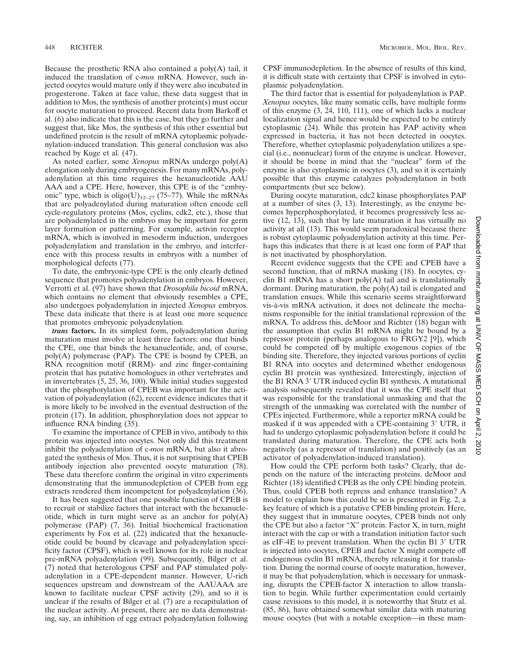Because the prosthetic RNA also contained a poly(A) tail, it induced the translation of c-*mos* mRNA. However, such injected oocytes would mature only if they were also incubated in progesterone. Taken at face value, these data suggest that in addition to Mos, the synthesis of another protein(s) must occur for oocyte maturation to proceed. Recent data from Barkoff et al. (6) also indicate that this is the case, but they go further and suggest that, like Mos, the synthesis of this other essential but undefined protein is the result of mRNA cytoplasmic polyadenylation-induced translation. This general conclusion was also reached by Kuge et al. (47).

As noted earlier, some *Xenopus* mRNAs undergo poly(A) elongation only during embryogenesis. For many mRNAs, polyadenylation at this time requires the hexanucleotide AAU AAA and a CPE. Here, however, this CPE is of the "embryonic" type, which is  $\text{oligo}(U)_{12-27}$  (75–77). While the mRNAs that are polyadenylated during maturation often encode cell cycle-regulatory proteins (Mos, cyclins, cdk2, etc.), those that are polyadenylated in the embryo may be important for germ layer formation or patterning. For example, activin receptor mRNA, which is involved in mesoderm induction, undergoes polyadenylation and translation in the embryo, and interference with this process results in embryos with a number of morphological defects (77).

To date, the embryonic-type CPE is the only clearly defined sequence that promotes polyadenylation in embryos. However, Verrotti et al. (97) have shown that *Drosophila bicoid* mRNA, which contains no element that obviously resembles a CPE, also undergoes polyadenylation in injected *Xenopus* embryos. These data indicate that there is at least one more sequence that promotes embryonic polyadenylation.

*trans* **factors.** In its simplest form, polyadenylation during maturation must involve at least three factors: one that binds the CPE, one that binds the hexanucleotide, and, of course, poly(A) polymerase (PAP). The CPE is bound by CPEB, an RNA recognition motif (RRM)- and zinc finger-containing protein that has putative homologues in other vertebrates and in invertebrates (5, 25, 36, 100). While initial studies suggested that the phosphorylation of CPEB was important for the activation of polyadenylation (62), recent evidence indicates that it is more likely to be involved in the eventual destruction of the protein (17). In addition, phosphorylation does not appear to influence RNA binding (35).

To examine the importance of CPEB in vivo, antibody to this protein was injected into oocytes. Not only did this treatment inhibit the polyadenylation of c-*mos* mRNA, but also it abrogated the synthesis of Mos. Thus, it is not surprising that CPEB antibody injection also prevented oocyte maturation (78). These data therefore confirm the original in vitro experiments demonstrating that the immunodepletion of CPEB from egg extracts rendered them incompetent for polyadenylation (36).

It has been suggested that one possible function of CPEB is to recruit or stabilize factors that interact with the hexanucleotide, which in turn might serve as an anchor for  $poly(A)$ polymerase (PAP) (7, 36). Initial biochemical fractionation experiments by Fox et al. (22) indicated that the hexanucleotide could be bound by cleavage and polyadenylation specificity factor (CPSF), which is well known for its role in nuclear pre-mRNA polyadenylation (99). Subsequently, Bilger et al. (7) noted that heterologous CPSF and PAP stimulated polyadenylation in a CPE-dependent manner. However, U-rich sequences upstream and downstream of the AAUAAA are known to facilitate nuclear CPSF activity (29), and so it is unclear if the results of Bilger et al. (7) are a recapitulation of the nuclear activity. At present, there are no data demonstrating, say, an inhibition of egg extract polyadenylation following CPSF immunodepletion. In the absence of results of this kind, it is difficult state with certainty that CPSF is involved in cytoplasmic polyadenylation.

The third factor that is essential for polyadenylation is PAP. *Xenopus* oocytes, like many somatic cells, have multiple forms of this enzyme (3, 24, 110, 111), one of which lacks a nuclear localization signal and hence would be expected to be entirely cytoplasmic (24). While this protein has PAP activity when expressed in bacteria, it has not been detected in oocytes. Therefore, whether cytoplasmic polyadenylation utilizes a special (i.e., nonnuclear) form of the enzyme is unclear. However, it should be borne in mind that the "nuclear" form of the enzyme is also cytoplasmic in oocytes (3), and so it is certainly possible that this enzyme catalyzes polyadenylation in both compartments (but see below).

During oocyte maturation, cdc2 kinase phosphorylates PAP at a number of sites (3, 13). Interestingly, as the enzyme becomes hyperphosphorylated, it becomes progressively less active (12, 13), such that by late maturation it has virtually no activity at all (13). This would seem paradoxical because there is robust cytoplasmic polyadenylation activity at this time. Perhaps this indicates that there is at least one form of PAP that is not inactivated by phosphorylation.

Recent evidence suggests that the CPE and CPEB have a second function, that of mRNA masking (18). In oocytes, cyclin B1 mRNA has a short  $poly(A)$  tail and is translationally dormant. During maturation, the poly(A) tail is elongated and translation ensues. While this scenario seems straightforward vis-à-vis mRNA activation, it does not delineate the mechanisms responsible for the initial translational repression of the mRNA. To address this, deMoor and Richter (18) began with the assumption that cyclin B1 mRNA might be bound by a repressor protein (perhaps analogous to FRGY2 [9]), which could be competed off by multiple exogenous copies of the binding site. Therefore, they injected various portions of cyclin B1 RNA into oocytes and determined whether endogenous cyclin B1 protein was synthesized. Interestingly, injection of the B1 RNA 3' UTR induced cyclin B1 synthesis. A mutational analysis subsequently revealed that it was the CPE itself that was responsible for the translational unmasking and that the strength of the unmasking was correlated with the number of CPEs injected. Furthermore, while a reporter mRNA could be masked if it was appended with a CPE-containing 3' UTR, it had to undergo cytoplasmic polyadenylation before it could be translated during maturation. Therefore, the CPE acts both negatively (as a repressor of translation) and positively (as an activator of polyadenylation-induced translation).

How could the CPE perform both tasks? Clearly, that depends on the nature of the interacting proteins. deMoor and Richter (18) identified CPEB as the only CPE binding protein. Thus, could CPEB both repress and enhance translation? A model to explain how this could be so is presented in Fig. 2, a key feature of which is a putative CPEB binding protein. Here, they suggest that in immature oocytes, CPEB binds not only the CPE but also a factor "X" protein. Factor X, in turn, might interact with the cap or with a translation initiation factor such as eIF-4E to prevent translation. When the cyclin B1 3' UTR is injected into oocytes, CPEB and factor X might compete off endogenous cyclin B1 mRNA, thereby releasing it for translation. During the normal course of oocyte maturation, however, it may be that polyadenylation, which is necessary for unmasking, disrupts the CPEB-factor X interaction to allow translation to begin. While further experimentation could certainly cause revisions to this model, it is noteworthy that Stutz et al. (85, 86), have obtained somewhat similar data with maturing mouse oocytes (but with a notable exception—in these mam-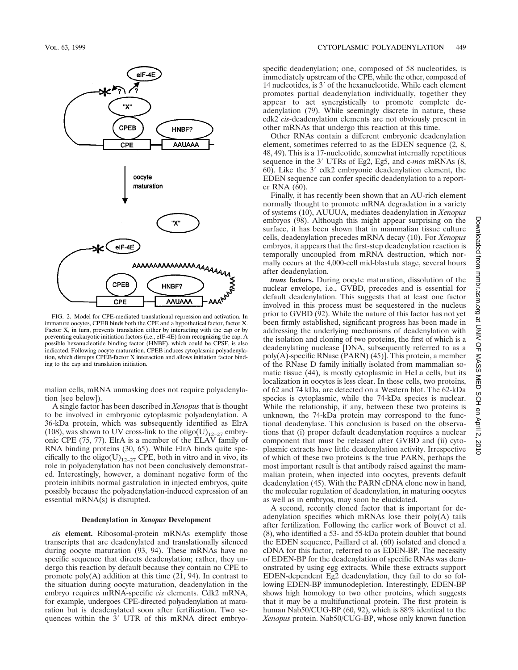

FIG. 2. Model for CPE-mediated translational repression and activation. In immature oocytes, CPEB binds both the CPE and a hypothetical factor, factor X. Factor X, in turn, prevents translation either by interacting with the cap or by preventing eukaryotic initiation factors (i.e., eIF-4E) from recognizing the cap. A possible hexanucleotide binding factor (HNBF), which could be CPSF, is also indicated. Following oocyte maturation, CPEB induces cytoplasmic polyadenylation, which disrupts CPEB-factor X interaction and allows initiation factor binding to the cap and translation initiation.

malian cells, mRNA unmasking does not require polyadenylation [see below]).

A single factor has been described in *Xenopus* that is thought to be involved in embryonic cytoplasmic polyadenylation. A 36-kDa protein, which was subsequently identified as ElrA (108), was shown to UV cross-link to the oligo(U)<sub>12–27</sub> embryonic CPE (75, 77). ElrA is a member of the ELAV family of RNA binding proteins (30, 65). While ElrA binds quite specifically to the oligo(U)<sub>12–27</sub> CPE, both in vitro and in vivo, its role in polyadenylation has not been conclusively demonstrated. Interestingly, however, a dominant negative form of the protein inhibits normal gastrulation in injected embryos, quite possibly because the polyadenylation-induced expression of an essential mRNA(s) is disrupted.

### **Deadenylation in** *Xenopus* **Development**

*cis* **element.** Ribosomal-protein mRNAs exemplify those transcripts that are deadenylated and translationally silenced during oocyte maturation (93, 94). These mRNAs have no specific sequence that directs deadenylation; rather, they undergo this reaction by default because they contain no CPE to promote  $poly(A)$  addition at this time  $(21, 94)$ . In contrast to the situation during oocyte maturation, deadenylation in the embryo requires mRNA-specific *cis* elements. Cdk2 mRNA, for example, undergoes CPE-directed polyadenylation at maturation but is deadenylated soon after fertilization. Two sequences within the  $3'$  UTR of this mRNA direct embryospecific deadenylation; one, composed of 58 nucleotides, is immediately upstream of the CPE, while the other, composed of 14 nucleotides, is 3' of the hexanucleotide. While each element promotes partial deadenylation individually, together they appear to act synergistically to promote complete deadenylation (79). While seemingly discrete in nature, these cdk2 *cis*-deadenylation elements are not obviously present in other mRNAs that undergo this reaction at this time.

Other RNAs contain a different embryonic deadenylation element, sometimes referred to as the EDEN sequence (2, 8, 48, 49). This is a 17-nucleotide, somewhat internally repetitious sequence in the 3' UTRs of Eg2, Eg5, and c-*mos* mRNAs (8, 60). Like the  $3'$  cdk2 embryonic deadenylation element, the EDEN sequence can confer specific deadenylation to a reporter RNA (60).

Finally, it has recently been shown that an AU-rich element normally thought to promote mRNA degradation in a variety of systems (10), AUUUA, mediates deadenylation in *Xenopus* embryos (98). Although this might appear surprising on the surface, it has been shown that in mammalian tissue culture cells, deadenylation precedes mRNA decay (10). For *Xenopus* embryos, it appears that the first-step deadenylation reaction is temporally uncoupled from mRNA destruction, which normally occurs at the 4,000-cell mid-blastula stage, several hours after deadenylation.

*trans* **factors.** During oocyte maturation, dissolution of the nuclear envelope, i.e., GVBD, precedes and is essential for default deadenylation. This suggests that at least one factor involved in this process must be sequestered in the nucleus prior to GVBD  $(92)$ . While the nature of this factor has not yet been firmly established, significant progress has been made in addressing the underlying mechanisms of deadenylation with the isolation and cloning of two proteins, the first of which is a deadenylating nuclease [DNA, subsequently referred to as a poly(A)-specific RNase (PARN) (45)]. This protein, a member of the RNase D family initially isolated from mammalian somatic tissue (44), is mostly cytoplasmic in HeLa cells, but its localization in oocytes is less clear. In these cells, two proteins, of 62 and 74 kDa, are detected on a Western blot. The 62-kDa species is cytoplasmic, while the 74-kDa species is nuclear. While the relationship, if any, between these two proteins is unknown, the 74-kDa protein may correspond to the functional deadenylase. This conclusion is based on the observations that (i) proper default deadenylation requires a nuclear component that must be released after GVBD and (ii) cytoplasmic extracts have little deadenylation activity. Irrespective of which of these two proteins is the true PARN, perhaps the most important result is that antibody raised against the mammalian protein, when injected into oocytes, prevents default deadenylation (45). With the PARN cDNA clone now in hand, the molecular regulation of deadenylation, in maturing oocytes as well as in embryos, may soon be elucidated.

A second, recently cloned factor that is important for deadenylation specifies which mRNAs lose their poly(A) tails after fertilization. Following the earlier work of Bouvet et al. (8), who identified a 53- and 55-kDa protein doublet that bound the EDEN sequence, Paillard et al. (60) isolated and cloned a cDNA for this factor, referred to as EDEN-BP. The necessity of EDEN-BP for the deadenylation of specific RNAs was demonstrated by using egg extracts. While these extracts support EDEN-dependent Eg2 deadenylation, they fail to do so following EDEN-BP immunodepletion. Interestingly, EDEN-BP shows high homology to two other proteins, which suggests that it may be a multifunctional protein. The first protein is human Nab50/CUG-BP (60, 92), which is 88% identical to the *Xenopus* protein. Nab50/CUG-BP, whose only known function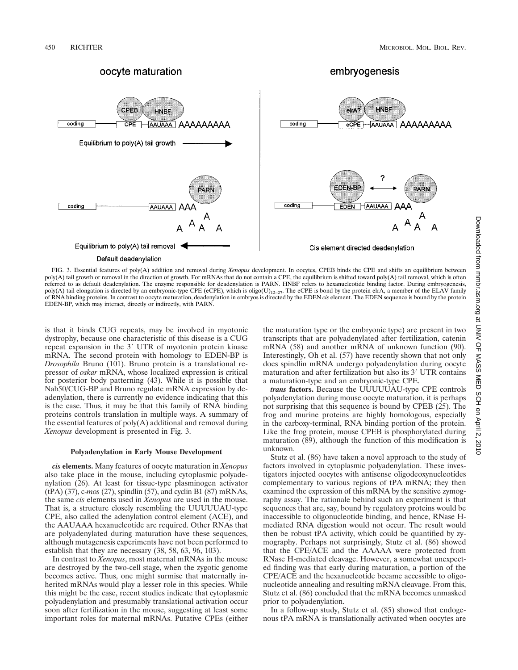

FIG. 3. Essential features of poly(A) addition and removal during *Xenopus* development. In oocytes, CPEB binds the CPE and shifts an equilibrium between poly(A) tail growth or removal in the direction of growth. For mRNAs that do not contain a CPE, the equilibrium is shifted toward poly(A) tail removal, which is often referred to as default deadenylation. The enzyme responsible for deadenylation is PARN. HNBF refers to hexanucleotide binding factor. During embryogenesis, poly(A) tail elongation is directed by an embryonic-type CPE (eCPE), which is oligo(U)<sub>12–27</sub>. The eCPE is bond by the protein elrA, a member of the ELAV family of RNA binding proteins. In contrast to oocyte maturation, deadenylation in embryos is directed by the EDEN *cis* element. The EDEN sequence is bound by the protein EDEN-BP, which may interact, directly or indirectly, with PARN.

is that it binds CUG repeats, may be involved in myotonic dystrophy, because one characteristic of this disease is a CUG repeat expansion in the 3' UTR of myotonin protein kinase mRNA. The second protein with homology to EDEN-BP is *Drosophila* Bruno (101). Bruno protein is a translational repressor of *oskar* mRNA, whose localized expression is critical for posterior body patterning (43). While it is possible that Nab50/CUG-BP and Bruno regulate mRNA expression by deadenylation, there is currently no evidence indicating that this is the case. Thus, it may be that this family of RNA binding proteins controls translation in multiple ways. A summary of the essential features of poly(A) additional and removal during *Xenopus* development is presented in Fig. 3.

#### **Polyadenylation in Early Mouse Development**

*cis* **elements.** Many features of oocyte maturation in *Xenopus* also take place in the mouse, including cytoplasmic polyadenylation (26). At least for tissue-type plasminogen activator (tPA) (37), c-*mos* (27), spindlin (57), and cyclin B1 (87) mRNAs, the same *cis* elements used in *Xenopus* are used in the mouse. That is, a structure closely resembling the UUUUUAU-type CPE, also called the adenylation control element (ACE), and the AAUAAA hexanucleotide are required. Other RNAs that are polyadenylated during maturation have these sequences, although mutagenesis experiments have not been performed to establish that they are necessary (38, 58, 63, 96, 103).

In contrast to *Xenopus*, most maternal mRNAs in the mouse are destroyed by the two-cell stage, when the zygotic genome becomes active. Thus, one might surmise that maternally inherited mRNAs would play a lesser role in this species. While this might be the case, recent studies indicate that cytoplasmic polyadenylation and presumably translational activation occur soon after fertilization in the mouse, suggesting at least some important roles for maternal mRNAs. Putative CPEs (either the maturation type or the embryonic type) are present in two transcripts that are polyadenylated after fertilization, catenin mRNA (58) and another mRNA of unknown function (90). Interestingly, Oh et al. (57) have recently shown that not only does spindlin mRNA undergo polyadenylation during oocyte maturation and after fertilization but also its 3' UTR contains a maturation-type and an embryonic-type CPE.

*trans* **factors.** Because the UUUUUAU-type CPE controls polyadenylation during mouse oocyte maturation, it is perhaps not surprising that this sequence is bound by CPEB (25). The frog and murine proteins are highly homologous, especially in the carboxy-terminal, RNA binding portion of the protein. Like the frog protein, mouse CPEB is phosphorylated during maturation (89), although the function of this modification is unknown.

Stutz et al. (86) have taken a novel approach to the study of factors involved in cytoplasmic polyadenylation. These investigators injected oocytes with antisense oligodeoxynucleotides complementary to various regions of tPA mRNA; they then examined the expression of this mRNA by the sensitive zymography assay. The rationale behind such an experiment is that sequences that are, say, bound by regulatory proteins would be inaccessible to oligonucleotide binding, and hence, RNase Hmediated RNA digestion would not occur. The result would then be robust tPA activity, which could be quantified by zymography. Perhaps not surprisingly, Stutz et al. (86) showed that the CPE/ACE and the AAAAA were protected from RNase H-mediated cleavage. However, a somewhat unexpected finding was that early during maturation, a portion of the CPE/ACE and the hexanucleotide became accessible to oligonucleotide annealing and resulting mRNA cleavage. From this, Stutz et al. (86) concluded that the mRNA becomes unmasked prior to polyadenylation.

In a follow-up study, Stutz et al. (85) showed that endogenous tPA mRNA is translationally activated when oocytes are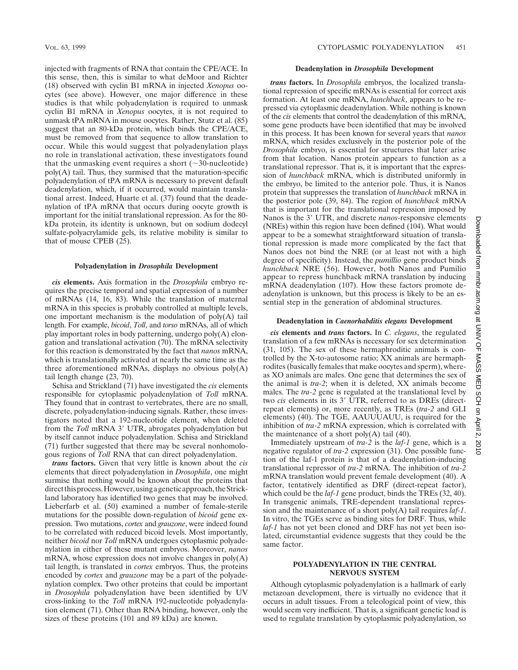injected with fragments of RNA that contain the CPE/ACE. In this sense, then, this is similar to what deMoor and Richter (18) observed with cyclin B1 mRNA in injected *Xenopus* oocytes (see above). However, one major difference in these studies is that while polyadenylation is required to unmask cyclin B1 mRNA in *Xenopus* oocytes, it is not required to unmask tPA mRNA in mouse oocytes. Rather, Stutz et al. (85) suggest that an 80-kDa protein, which binds the CPE/ACE, must be removed from that sequence to allow translation to occur. While this would suggest that polyadenylation plays no role in translational activation, these investigators found that the unmasking event requires a short  $(\sim 30$ -nucleotide)  $poly(A)$  tail. Thus, they surmised that the maturation-specific polyadenylation of tPA mRNA is necessary to prevent default deadenylation, which, if it occurred, would maintain translational arrest. Indeed, Huarte et al. (37) found that the deadenylation of tPA mRNA that occurs during oocyte growth is important for the initial translational repression. As for the 80 kDa protein, its identity is unknown, but on sodium dodecyl sulfate-polyacrylamide gels, its relative mobility is similar to that of mouse CPEB (25).

## **Polyadenylation in** *Drosophila* **Development**

*cis* **elements.** Axis formation in the *Drosophila* embryo requires the precise temporal and spatial expression of a number of mRNAs (14, 16, 83). While the translation of maternal mRNA in this species is probably controlled at multiple levels, one important mechanism is the modulation of poly(A) tail length. For example, *bicoid*, *Toll*, and *torso* mRNAs, all of which play important roles in body patterning, undergo poly(A) elongation and translational activation (70). The mRNA selectivity for this reaction is demonstrated by the fact that *nanos* mRNA, which is translationally activated at nearly the same time as the three aforementioned mRNAs, displays no obvious poly(A) tail length change (23, 70).

Schisa and Strickland (71) have investigated the *cis* elements responsible for cytoplasmic polyadenylation of *Toll* mRNA. They found that in contrast to vertebrates, there are no small, discrete, polyadenylation-inducing signals. Rather, these investigators noted that a 192-nucleotide element, when deleted from the *Toll* mRNA 3' UTR, abrogates polyadenylation but by itself cannot induce polyadenylation. Schisa and Strickland (71) further suggested that there may be several nonhomologous regions of *Toll* RNA that can direct polyadenylation.

*trans* **factors.** Given that very little is known about the *cis* elements that direct polyadenylation in *Drosophila*, one might surmise that nothing would be known about the proteins that direct this process. However, using a genetic approach, the Strickland laboratory has identified two genes that may be involved. Lieberfarb et al. (50) examined a number of female-sterile mutations for the possible down-regulation of *bicoid* gene expression. Two mutations, *cortex* and *grauzone*, were indeed found to be correlated with reduced bicoid levels. Most importantly, neither *bicoid* nor *Toll* mRNA undergoes cytoplasmic polyadenylation in either of these mutant embryos. Moreover, *nanos* mRNA, whose expression does not involve changes in  $poly(A)$ tail length, is translated in *cortex* embryos. Thus, the proteins encoded by *cortex* and *grauzone* may be a part of the polyadenylation complex. Two other proteins that could be important in *Drosophila* polyadenylation have been identified by UV cross-linking to the *Toll* mRNA 192-nucleotide polyadenylation element (71). Other than RNA binding, however, only the sizes of these proteins (101 and 89 kDa) are known.

#### **Deadenylation in** *Drosophila* **Development**

*trans* **factors.** In *Drosophila* embryos, the localized translational repression of specific mRNAs is essential for correct axis formation. At least one mRNA, *hunchback*, appears to be repressed via cytoplasmic deadenylation. While nothing is known of the *cis* elements that control the deadenylation of this mRNA, some gene products have been identified that may be involved in this process. It has been known for several years that *nanos* mRNA, which resides exclusively in the posterior pole of the *Drosophila* embryo, is essential for structures that later arise from that location. Nanos protein appears to function as a translational repressor. That is, it is important that the expression of *hunchback* mRNA, which is distributed uniformly in the embryo, be limited to the anterior pole. Thus, it is Nanos protein that suppresses the translation of *hunchback* mRNA in the posterior pole (39, 84). The region of *hunchback* mRNA that is important for the translational repression imposed by Nanos is the 3' UTR, and discrete *nanos*-responsive elements (NREs) within this region have been defined (104). What would appear to be a somewhat straightforward situation of translational repression is made more complicated by the fact that Nanos does not bind the NRE (or at least not with a high degree of specificity). Instead, the *pumillio* gene product binds *hunchback* NRE (56). However, both Nanos and Pumilio appear to repress hunchback mRNA translation by inducing mRNA deadenylation (107). How these factors promote deadenylation is unknown, but this process is likely to be an essential step in the generation of abdominal structures.

### **Deadenylation in** *Caenorhabditis elegans* **Development**

*cis* **elements and** *trans* **factors.** In *C. elegans*, the regulated translation of a few mRNAs is necessary for sex determination (31, 105). The sex of these hermaphroditic animals is controlled by the X-to-autosome ratio; XX animals are hermaphrodites (basically females that make oocytes and sperm), whereas XO animals are males. One gene that determines the sex of the animal is *tra-2*; when it is deleted, XX animals become males. The *tra-2* gene is regulated at the translational level by two *cis* elements in its 3' UTR, referred to as DREs (directrepeat elements) or, more recently, as TREs (*tra-2* and GLI elements) (40). The TGE, AAUUUAUU, is required for the inhibition of *tra-2* mRNA expression, which is correlated with the maintenance of a short poly $(A)$  tail  $(40)$ .

Immediately upstream of *tra-2* is the *laf-1* gene, which is a negative regulator of *tra-2* expression (31). One possible function of the laf-1 protein is that of a deadenylation-inducing translational repressor of *tra-2* mRNA. The inhibition of *tra-2* mRNA translation would prevent female development (40). A factor, tentatively identified as DRF (direct-repeat factor), which could be the *laf-1* gene product, binds the TREs (32, 40). In transgenic animals, TRE-dependent translational repression and the maintenance of a short poly(A) tail requires *laf-1*. In vitro, the TGEs serve as binding sites for DRF. Thus, while *laf-1* has not yet been cloned and DRF has not yet been isolated, circumstantial evidence suggests that they could be the same factor.

# **POLYADENYLATION IN THE CENTRAL NERVOUS SYSTEM**

Although cytoplasmic polyadenylation is a hallmark of early metazoan development, there is virtually no evidence that it occurs in adult tissues. From a teleological point of view, this would seem very inefficient. That is, a significant genetic load is used to regulate translation by cytoplasmic polyadenylation, so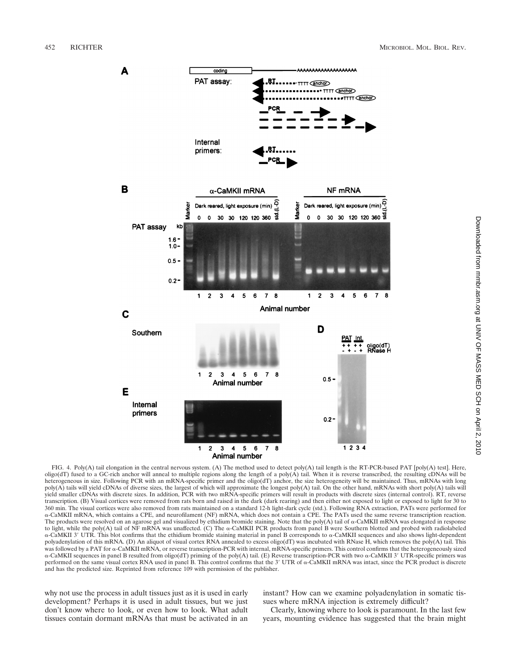

FIG. 4. Poly(A) tail elongation in the central nervous system. (A) The method used to detect poly(A) tail length is the RT-PCR-based PAT [poly(A) test]. Here, oligo(dT) fused to a GC-rich anchor will anneal to multiple regions along the length of a poly( $\overline{A}$ ) tail. When it is reverse transcribed, the resulting cDNAs will be heterogeneous in size. Following PCR with an mRNA-specific primer and the oligo(dT) anchor, the size heterogeneity will be maintained. Thus, mRNAs with long poly(A) tails will yield cDNAs of diverse sizes, the largest of which will approximate the longest poly(A) tail. On the other hand, mRNAs with short poly(A) tails will yield smaller cDNAs with discrete sizes. In addition, PCR with two mRNA-specific primers will result in products with discrete sizes (internal control). RT, reverse transcription. (B) Visual cortices were removed from rats born and raised in the dark (dark rearing) and then either not exposed to light or exposed to light for 30 to 360 min. The visual cortices were also removed from rats maintained on a standard 12-h light-dark cycle (std.). Following RNA extraction, PATs were performed for a-CaMKII mRNA, which contains a CPE, and neurofilament (NF) mRNA, which does not contain a CPE. The PATs used the same reverse transcription reaction. The products were resolved on an agarose gel and visualized by ethidium bromide staining. Note that the poly(A) tail of  $\alpha$ -CaMKII mRNA was elongated in response to light, while the poly(A) tail of NF mRNA was unaffected. (C) The a-CaMKII PCR products from panel B were Southern blotted and probed with radiolabeled  $\alpha$ -CaMKII 3' UTR. This blot confirms that the ethidium bromide staining material in panel B corresponds to  $\alpha$ -CaMKII sequences and also shows light-dependent polyadenylation of this mRNA. (D) An aliquot of visual cortex RNA annealed to excess oligo(dT) was incubated with RNase H, which removes the poly(A) tail. This was followed by a PAT for  $\alpha$ -CaMKII mRNA, or reverse transcription-PCR with internal, mRNA-specific primers. This control confirms that the heterogeneously sized α-CaMKII sequences in panel B resulted from oligo(dT) priming of the poly(A) tail. (E) Reverse transcription-PCR with two α-CaMKII 3' UTR-specific primers was performed on the same visual cortex RNA used in panel B. This control confirms that the  $3'$  UTR of  $\alpha$ -CaMKII mRNA was intact, since the PCR product is discrete and has the predicted size. Reprinted from reference 109 with permission of the publisher.

why not use the process in adult tissues just as it is used in early development? Perhaps it is used in adult tissues, but we just don't know where to look, or even how to look. What adult tissues contain dormant mRNAs that must be activated in an

instant? How can we examine polyadenylation in somatic tissues where mRNA injection is extremely difficult?

Clearly, knowing where to look is paramount. In the last few years, mounting evidence has suggested that the brain might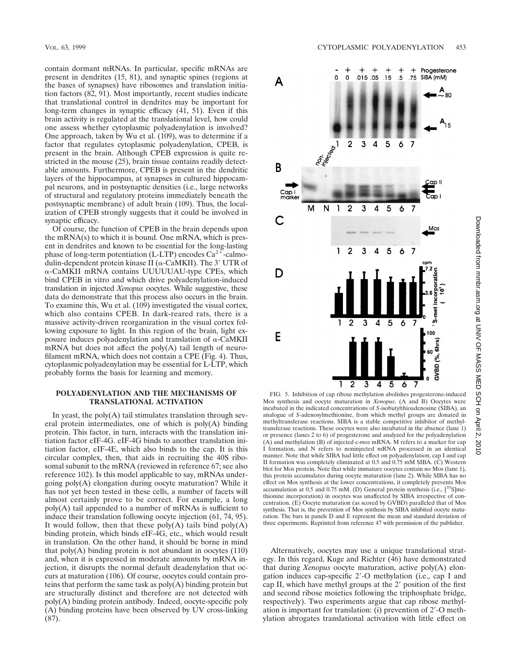contain dormant mRNAs. In particular, specific mRNAs are present in dendrites (15, 81), and synaptic spines (regions at the bases of synapses) have ribosomes and translation initiation factors (82, 91). Most importantly, recent studies indicate that translational control in dendrites may be important for long-term changes in synaptic efficacy (41, 51). Even if this brain activity is regulated at the translational level, how could one assess whether cytoplasmic polyadenylation is involved? One approach, taken by Wu et al.  $(109)$ , was to determine if a factor that regulates cytoplasmic polyadenylation, CPEB, is present in the brain. Although CPEB expression is quite restricted in the mouse (25), brain tissue contains readily detectable amounts. Furthermore, CPEB is present in the dendritic layers of the hippocampus, at synapses in cultured hippocampal neurons, and in postsynaptic densities (i.e., large networks of structural and regulatory proteins immediately beneath the postsynaptic membrane) of adult brain (109). Thus, the localization of CPEB strongly suggests that it could be involved in synaptic efficacy.

Of course, the function of CPEB in the brain depends upon the mRNA(s) to which it is bound. One mRNA, which is present in dendrites and known to be essential for the long-lasting phase of long-term potentiation (L-LTP) encodes  $Ca^{2+}$ -calmodulin-dependent protein kinase II ( $\alpha$ -CaMKII). The 3' UTR of a-CaMKII mRNA contains UUUUUAU-type CPEs, which bind CPEB in vitro and which drive polyadenylation-induced translation in injected *Xenopus* oocytes. While suggestive, these data do demonstrate that this process also occurs in the brain. To examine this, Wu et al. (109) investigated the visual cortex, which also contains CPEB. In dark-reared rats, there is a massive activity-driven reorganization in the visual cortex following exposure to light. In this region of the brain, light exposure induces polyadenylation and translation of  $\alpha$ -CaMKII mRNA but does not affect the poly(A) tail length of neurofilament mRNA, which does not contain a CPE (Fig. 4). Thus, cytoplasmic polyadenylation may be essential for L-LTP, which probably forms the basis for learning and memory.

## **POLYADENYLATION AND THE MECHANISMS OF TRANSLATIONAL ACTIVATION**

In yeast, the  $poly(A)$  tail stimulates translation through several protein intermediates, one of which is poly(A) binding protein. This factor, in turn, interacts with the translation initiation factor eIF-4G. eIF-4G binds to another translation initiation factor, eIF-4E, which also binds to the cap. It is this circular complex, then, that aids in recruiting the 40S ribosomal subunit to the mRNA (reviewed in reference 67; see also reference 102). Is this model applicable to say, mRNAs undergoing poly(A) elongation during oocyte maturation? While it has not yet been tested in these cells, a number of facets will almost certainly prove to be correct. For example, a long poly(A) tail appended to a number of mRNAs is sufficient to induce their translation following oocyte injection (61, 74, 95). It would follow, then that these  $poly(A)$  tails bind  $poly(A)$ binding protein, which binds eIF-4G, etc., which would result in translation. On the other hand, it should be borne in mind that  $poly(A)$  binding protein is not abundant in oocytes  $(110)$ and, when it is expressed in moderate amounts by mRNA injection, it disrupts the normal default deadenylation that occurs at maturation (106). Of course, oocytes could contain proteins that perform the same task as poly(A) binding protein but are structurally distinct and therefore are not detected with poly(A) binding protein antibody. Indeed, oocyte-specific poly (A) binding proteins have been observed by UV cross-linking (87).



2010

FIG. 5. Inhibition of cap ribose methylation abolishes progesterone-induced Mos synthesis and oocyte maturation in *Xenopus*. (A and B) Oocytes were incubated in the indicated concentrations of *S*-isobutylthioadenosine (SIBA), an analogue of *S*-adenosylmethionine, from which methyl groups are donated in methyltransferase reactions. SIBA is a stable competitive inhibitor of methyltransferase reactions. These oocytes were also incubated in the absence (lane 1) or presence (lanes 2 to 6) of progesterone and analyzed for the polyadenylation (A) and methylation (B) of injected c-*mos* mRNA. M refers to a marker for cap I formation, and N refers to noninjected mRNA processed in an identical manner. Note that while SIBA had little effect on polyadenylation, cap I and cap II formation was completely eliminated at 0.5 and 0.75 mM SIBA. (C) Western blot for Mos protein. Note that while immature oocytes contain no Mos (lane 1), this protein accumulates during oocyte maturation (lane 2). While SIBA has no effect on Mos synthesis at the lower concentrations, it completely prevents Mos accumulation at 0.5 and 0.75 mM. (D) General protein synthesis (i.e., [<sup>35</sup>S]methionine incorporation) in oocytes was unaffected by SIBA irrespective of concentration. (E) Oocyte maturation (as scored by GVBD) paralleled that of Mos synthesis. That is, the prevention of Mos synthesis by SIBA inhibited oocyte maturation. The bars in panels D and E represent the mean and standard deviation of three experiments. Reprinted from reference 47 with permission of the publisher.

Alternatively, oocytes may use a unique translational strategy. In this regard, Kuge and Richter (46) have demonstrated that during *Xenopus* oocyte maturation, active poly(A) elongation induces cap-specific 2'-O methylation (i.e., cap I and cap II, which have methyl groups at the  $2'$  position of the first and second ribose moieties following the triphosphate bridge, respectively). Two experiments argue that cap ribose methylation is important for translation: (i) prevention of  $2^{\prime}$ -O methylation abrogates translational activation with little effect on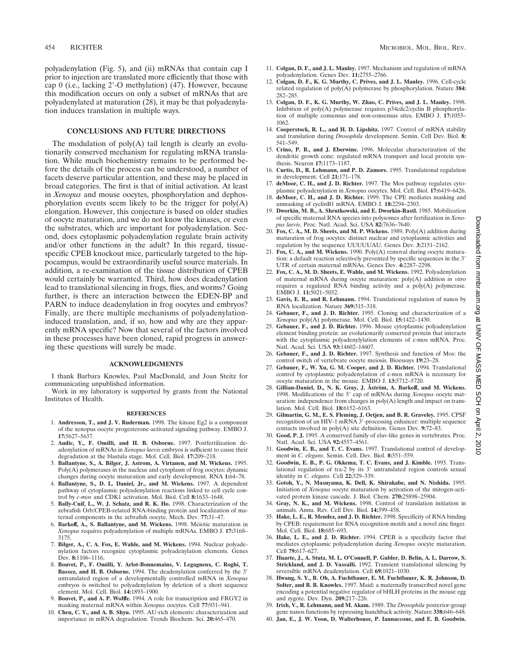polyadenylation (Fig. 5), and (ii) mRNAs that contain cap I prior to injection are translated more efficiently that those with cap 0 (i.e., lacking  $2'$ -O methylation) (47). However, because this modification occurs on only a subset of mRNAs that are polyadenylated at maturation (28), it may be that polyadenylation induces translation in multiple ways.

# **CONCLUSIONS AND FUTURE DIRECTIONS**

The modulation of  $poly(A)$  tail length is clearly an evolutionarily conserved mechanism for regulating mRNA translation. While much biochemistry remains to be performed before the details of the process can be understood, a number of facets deserve particular attention, and these may be placed in broad categories. The first is that of initial activation. At least in *Xenopus* and mouse oocytes, phosphorylation and dephosphorylation events seem likely to be the trigger for poly(A) elongation. However, this conjecture is based on older studies of oocyte maturation, and we do not know the kinases, or even the substrates, which are important for polyadenylation. Second, does cytoplasmic polyadenylation regulate brain activity and/or other functions in the adult? In this regard, tissuespecific CPEB knockout mice, particularly targeted to the hippocampus, would be extraordinarily useful source materials. In addition, a re-examination of the tissue distribution of CPEB would certainly be warranted. Third, how does deadenylation lead to translational silencing in frogs, flies, and worms? Going further, is there an interaction between the EDEN-BP and PARN to induce deadenylation in frog oocytes and embryos? Finally, are there multiple mechanisms of polyadenylationinduced translation, and, if so, how and why are they apparently mRNA specific? Now that several of the factors involved in these processes have been cloned, rapid progress in answering these questions will surely be made.

### **ACKNOWLEDGMENTS**

I thank Barbara Knowles, Paul MacDonald, and Joan Steitz for communicating unpublished information.

Work in my laboratory is supported by grants from the National Institutes of Health.

#### **REFERENCES**

- 1. **Andresson, T., and J. V. Ruderman.** 1998. The kinase Eg2 is a component of the xenopus oocyte progesterone-activated signaling pathway. EMBO J. **17:**5627–5637.
- 2. **Audic, Y., F. Omilli, and H. B. Osborne.** 1997. Postfertilization deadenylation of mRNAs in *Xenopus laevis* embryos is sufficient to cause their degradation at the blastula stage. Mol. Cell. Biol. **17:**209–218.
- 3. **Ballantyne, S., A. Bilger, J. Astrom, A. Virtanen, and M. Wickens.** 1995. Poly(A) polymerases in the nucleus and cytoplasm of frog oocytes: dynamic changes during oocyte maturation and early development. RNA **1:**64–78.
- 4. **Ballantyne, S., D. L. Daniel, Jr., and M. Wickens.** 1997. A dependent pathway of cytoplasmic polyadenylation reactions linked to cell cycle control by *c-mos* and CDK1 activation. Mol. Biol. Cell **8:**1633–1648.
- 5. **Bally-Cuif, L., W. J. Schatz, and R. K. Ho.** 1998. Characterization of the zebrafish Orb/CPEB-related RNA-binding protein and localization of maternal components in the zebrafish oocyte. Mech. Dev. **77:**31–47.
- 6. **Barkoff, A., S. Ballantyne, and M. Wickens.** 1998. Meiotic maturation in *Xenopus* requires polyadenylation of multiple mRNAs. EMBO J. **17:**3168– 3175.
- 7. **Bilger, A., C. A. Fox, E. Wahle, and M. Wickens.** 1994. Nuclear polyadenylation factors recognize cytoplasmic polyadenylation elements. Genes Dev. **8:**1106–1116.
- 8. **Bouvet, P., F. Omilli, Y. Arlot-Bonnemains, V. Legagneux, C. Roghi, T.** Bassez, and H. B. Osborne. 1994. The deadenylation conferred by the 3' untranslated region of a developmentally controlled mRNA in *Xenopus* embryos is switched to polyadenylation by deletion of a short sequence element. Mol. Cell. Biol. **14:**1893–1900.
- 9. **Bouvet, P., and A. P. Wolffe.** 1994. A role for transcription and FRGY2 in masking maternal mRNA within *Xenopus* oocytes. Cell **77:**931–941.
- 10. **Chen, C. Y., and A. B. Shyu.** 1995. AU-rich elements: characterization and importance in mRNA degradation. Trends Biochem. Sci. **20:**465–470.
- 11. **Colgan, D. F., and J. L. Manley.** 1997. Mechanism and regulation of mRNA polyadenylation. Genes Dev. **11:**2755–2766.
- 12. **Colgan, D. F., K. G. Murthy, C. Prives, and J. L. Manley.** 1996. Cell-cycle related regulation of poly(A) polymerase by phosphorylation. Nature **384:** 282–285.
- 13. **Colgan, D. F., K. G. Murthy, W. Zhao, C. Prives, and J. L. Manley.** 1998. Inhibition of poly(A) polymerase requires p34cdc2/cyclin B phosphorylation of multiple consensus and non-consensus sites. EMBO J. **17:**1053– 1062.
- 14. **Cooperstock, R. L., and H. D. Lipshitz.** 1997. Control of mRNA stability and translation during *Drosophila* development. Semin. Cell Dev. Biol. **8:** 541–549.
- 15. **Crino, P. B., and J. Eberwine.** 1996. Molecular characterization of the dendritic growth cone: regulated mRNA transport and local protein synthesis. Neuron **17:**1173–1187.
- 16. **Curtis, D., R. Lehmann, and P. D. Zamore.** 1995. Translational regulation in development. Cell **21:**171–178.
- 17. **deMoor, C. H., and J. D. Richter.** 1997. The Mos pathway regulates cytoplasmic polyadenylation in *Xenopus* oocytes. Mol. Cell. Biol. **17:**6419–6426.
- 18. **deMoor, C. H., and J. D. Richter.** 1999. The CPE mediates masking and unmasking of cyclinB1 mRNA. EMBO J. **18:**2294–2303.
- 19. **Dworkin, M. B., A. Shrutkowski, and E. Dworkin-Rastl.** 1985. Mobilization of specific maternal RNA species into polysomes after fertilization in *Xenopus laevis*. Proc. Natl. Acad. Sci. USA **82:**7636–7640.
- 20. **Fox, C. A., M. D. Sheets, and M. P. Wickens.** 1989. Poly(A) addition during maturation of frog oocytes: distinct nuclear and cytoplasmic activities and regulation by the sequence UUUUUAU. Genes Dev. **3:**2151–2162.
- 21. **Fox, C. A., and M. Wickens.** 1990. Poly(A) removal during oocyte maturation: a default reaction selectively prevented by specific sequences in the  $3^{\prime}$ UTR of certain maternal mRNAs. Genes Dev. **4:**2287–2298.
- 22. **Fox, C. A., M. D. Sheets, E. Wahle, and M. Wickens.** 1992. Polyadenylation of maternal mRNA during oocyte maturation: poly(A) addition *in vitro* requires a regulated RNA binding activity and a poly(A) polymerase. EMBO J. **11:**5021–5032.
- 23. **Gavis, E. R., and R. Lehmann.** 1994. Translational regulation of nanos by RNA localization. Nature **369:**315–318.
- 24. **Gebauer, F., and J. D. Richter.** 1995. Cloning and characterization of a *Xenopus* poly(A) polymerase. Mol. Cell. Biol. **15:**1422–1430.
- 25. **Gebauer, F., and J. D. Richter.** 1996. Mouse cytoplasmic polyadenylation element binding protein: an evolutionarily conserved protein that interacts with the cytoplasmic polyadenylylation elements of c-mos mRNA. Proc. Natl. Acad. Sci. USA **93:**14602–14607.
- 26. **Gebauer, F., and J. D. Richter.** 1997. Synthesis and function of Mos: the control switch of vertebrate oocyte meiosis. Bioessays **19:**23–28.
- 27. **Gebauer, F., W. Xu, G. M. Cooper, and J. D. Richter.** 1994. Translational control by cytoplasmic polyadenylation of c-mos mRNA is necessary for oocyte maturation in the mouse. EMBO J. **13:**5712–5720.
- 28. Gillian-Daniel, D., N. K. Gray, J. Åström, A. Barkoff, and M. Wickens. 1998. Modifications of the 5' cap of mRNAs during *Xenopus* oocyte maturation: independence from changes in poly(A) length and impact on translation. Mol. Cell. Biol. **18:**6152–6163.
- 29. **Gilmartin, G. M., E. S. Fleming, J. Oetjen, and B. R. Graveley.** 1995. CPSF recognition of an HIV-1 mRNA 3'-processing enhancer: multiple sequence contacts involved in poly(A) site definition. Genes Dev. **9:**72–83.
- 30. **Good, P. J.** 1995. A conserved family of elav-like genes in vertebrates. Proc. Natl. Acad. Sci. USA **92:**4557–4561.
- 31. **Goodwin, E. B., and T. C. Evans.** 1997. Translational control of development in *C. elegans*. Semin. Cell. Dev. Biol. **8:**551–559.
- 32. **Goodwin, E. B., P. G. Okkema, T. C. Evans, and J. Kimble.** 1993. Translational regulation of tra-2 by its 3' untranslated region controls sexual identity in *C. elegans*. Cell **22:**329–339.
- 33. **Gotoh, Y., N. Masuyama, K. Dell, K. Shirakabe, and N. Nishida.** 1995. Initiation of *Xenopus* oocyte maturation by activation of the mitogen-activated protein kinase cascade. J. Biol. Chem. **270:**25898–25904.
- 34. **Gray, N. K., and M. Wickens.** 1998. Control of translation initiation in animals. Annu. Rev. Cell Dev. Biol. **14:**399–458.
- 35. **Hake, L. E., R. Mendez, and J. D. Richter.** 1998. Specificity of RNA binding by CPEB: requirement for RNA recognition motifs and a novel zinc finger. Mol. Cell. Biol. **18:**685–693.
- 36. **Hake, L. E., and J. D. Richter.** 1994. CPEB is a specificity factor that mediates cytoplasmic polyadenylation during *Xenopus* oocyte maturation. Cell **79:**617–627.
- 37. **Huarte, J., A. Stutz, M. L. O'Connell, P. Gubler, D. Belin, A. L. Darrow, S. Strickland, and J. D. Vassalli.** 1992. Transient translational silencing by reversible mRNA deadenylation. Cell **69:**1021–1030.
- 38. **Hwang, S. Y., B. Oh, A. Fuchtbauer, E. M. Fuchtbauer, K. R. Johnson, D. Solter, and B. B. Knowles.** 1997. Maid: a maternally transcribed novel gene encoding a potential negative regulator of bHLH proteins in the mouse egg and zygote. Dev. Dyn. **209:**217–226.
- 39. **Irish, V., R. Lehmann, and M. Akam.** 1989. The *Drosophila* posterior-group gene nanos functions by repressing hunchback activity. Nature **338:**646–648.
- 40. **Jan, E., J. W. Yoon, D. Walterhouse, P. Iannaccone, and E. B. Goodwin.**

2010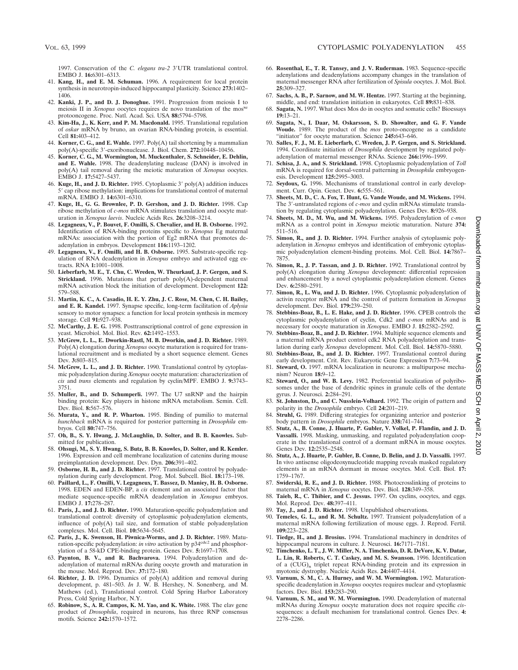1997. Conservation of the *C. elegans tra-2* 3'UTR translational control. EMBO J. **16:**6301–6313.

- 41. **Kang, H., and E. M. Schuman.** 1996. A requirement for local protein synthesis in neurotropin-induced hippocampal plasticity. Science **273:**1402– 1406.
- 42. **Kanki, J. P., and D. J. Donoghue.** 1991. Progression from meiosis I to meiosis II in *Xenopus* oocytes requires de novo translation of the mos<sup>xe</sup> protooncogene. Proc. Natl. Acad. Sci. USA **88:**5794–5798.
- 43. **Kim-Ha, J., K. Kerr, and P. M. Macdonald.** 1995. Translational regulation of *oskar* mRNA by bruno, an ovarian RNA-binding protein, is essential. Cell **81:**403–412.
- 44. **Korner, C. G., and E. Wahle.** 1997. Poly(A) tail shortening by a mammalian poly(A)-specific 3'-exoribonuclease. J. Biol. Chem. 272:10448-10456.
- 45. **Korner, C. G., M. Wormington, M. Muckenthaler, S. Schneider, E. Dehlin, and E. Wahle.** 1998. The deadenylating nuclease (DAN) is involved in poly(A) tail removal during the meiotic maturation of *Xenopus* oocytes. EMBO J. **17:**5427–5437.
- 46. Kuge, H., and J. D. Richter. 1995. Cytoplasmic 3' poly(A) addition induces 5' cap ribose methylation: implications for translational control of maternal mRNA. EMBO J. **14:**6301–6310.
- 47. **Kuge, H., G. G. Brownlee, P. D. Gershon, and J. D. Richter.** 1998. Cap ribose methylation of *c-mos* mRNA stimulates translation and oocyte maturation in *Xenopus laevis*. Nucleic Acids Res. **26:**3208–3214.
- 48. **Legagneux, V., P. Bouvet, F. Omilli, S. Chevalier, and H. B. Osborne.** 1992. Identification of RNA-binding proteins specific to *Xenopus* Eg maternal mRNAs: association with the portion of Eg2 mRNA that promotes deadenylation in embryos. Development **116:**1193–1202.
- 49. **Legagneux, V., F. Omilli, and H. B. Osborne.** 1995. Substrate-specific regulation of RNA deadenylation in *Xenopus* embryo and activated egg extracts. RNA **1:**1001–1008.
- 50. **Lieberfarb, M. E., T. Chu, C. Wreden, W. Theurkauf, J. P. Gergen, and S. Strickland.** 1996. Mutations that perturb poly(A)-dependent maternal mRNA activation block the initiation of development. Development **122:** 579–588.
- 51. **Martin, K. C., A. Casadio, H. E. Y. Zhu, J. C. Rose, M. Chen, C. H. Bailey, and E. R. Kandel.** 1997. Synapse specific, long-term facilitation of *Aplysia* sensory to motor synapses: a function for local protein synthesis in memory storage. Cell **91:**927–938.
- 52. **McCarthy, J. E. G.** 1998. Posttranscriptional control of gene expression in yeast. Microbiol. Mol. Biol. Rev. **62:**1492–1553.
- 53. **McGrew, L. L., E. Dworkin-Rastl, M. B. Dworkin, and J. D. Richter.** 1989. Poly(A) elongation during *Xenopus* oocyte maturation is required for translational recruitment and is mediated by a short sequence element. Genes Dev. **3:**803–815.
- 54. **McGrew, L. L., and J. D. Richter.** 1990. Translational control by cytoplasmic polyadenylation during *Xenopus* oocyte maturation: characterization of *cis* and *trans* elements and regulation by cyclin/MPF. EMBO J. **9:**3743– 3751.
- 55. **Muller, B., and D. Schumperli.** 1997. The U7 snRNP and the hairpin binding protein: Key players in histone mRNA metabolism. Semin. Cell. Dev. Biol. **8:**567–576.
- 56. **Murata, Y., and R. P. Wharton.** 1995. Binding of pumilio to maternal *hunchback* mRNA is required for posterior patterning in *Drosophila* embryos. Cell **80:**747–756.
- 57. **Oh, B., S. Y. Hwang, J. McLaughlin, D. Solter, and B. B. Knowles.** Submitted for publication.
- 58. **Ohsugi, M., S. Y. Hwang, S. Butz, B. B. Knowles, D. Solter, and R. Kemler.** 1996. Expression and cell membrane localization of catenins during mouse preimplantation development. Dev. Dyn. **206:**391–402.
- 59. **Osborne, H. B., and J. D. Richter.** 1997. Translational control by polyadenylation during early development. Prog. Mol. Subcell. Biol. **18:**173–198.
- 60. **Paillard, L., F. Omilli, V. Legagneux, T. Bassez, D. Maniey, H. B. Osborne.** 1998. EDEN and EDEN-BP, a *cis* element and an associated factor that mediate sequence-specific mRNA deadenylation in *Xenopus* embryos. EMBO J. **17:**278–287.
- 61. **Paris, J., and J. D. Richter.** 1990. Maturation-specific polyadenylation and translational control: diversity of cytoplasmic polyadenylation elements, influence of poly(A) tail size, and formation of stable polyadenylation complexes. Mol. Cell. Biol. **10:**5634–5645.
- 62. **Paris, J., K. Swenson, H. Piwnica-Worms, and J. D. Richter.** 1989. Maturation-specific polyadenylation: *in vitro* activation by p34<sup>cdc2</sup> and phosphorylation of a 58-kD CPE-binding protein. Genes Dev. **5:**1697–1708.
- 63. **Paynton, B. V., and R. Bachvarova.** 1994. Polyadenylation and deadenylation of maternal mRNAs during oocyte growth and maturation in the mouse. Mol. Reprod. Dev. **37:**172–180.
- 64. **Richter, J. D.** 1996. Dynamics of poly(A) addition and removal during development, p. 481–503. *In* J. W. B. Hershey, N. Sonenberg, and M. Mathews (ed.), Translational control. Cold Spring Harbor Laboratory Press, Cold Spring Harbor, N.Y.
- 65. **Robinow, S., A. R. Campos, K. M. Yao, and K. White.** 1988. The elav gene product of *Drosophila*, required in neurons, has three RNP consensus motifs. Science **242:**1570–1572.
- 66. **Rosenthal, E., T. R. Tansey, and J. V. Ruderman.** 1983. Sequence-specific adenylations and deadenylations accompany changes in the translation of maternal messenger RNA after fertilization of *Spisula* oocytes. J. Mol. Biol. **25:**309–327.
- 67. **Sachs, A. B., P. Sarnow, and M. W. Hentze.** 1997. Starting at the beginning, middle, and end: translation initiation in eukaryotes. Cell **89:**831–838.
- 68. **Sagata, N.** 1997. What does Mos do in oocytes and somatic cells? Bioessays **19:**13–21.
- 69. **Sagata, N., I. Daar, M. Oskarsson, S. D. Showalter, and G. F. Vande Woude.** 1989. The product of the *mos* proto-oncogene as a candidate "initiator" for oocyte maturation. Science **245:**643–646.
- 70. **Salles, F. J., M. E. Lieberfarb, C. Wreden, J. P. Gergen, and S. Strickland.** 1994. Coordinate initiation of *Drosophila* development by regulated polyadenylation of maternal messenger RNAs. Science **266:**1996–1999.
- 71. **Schisa, J. A., and S. Strickland.** 1998. Cytoplasmic polyadenylation of *Toll* mRNA is required for dorsal-ventral patterning in *Drosophila* embryogenesis. Development **125:**2995–3003.
- 72. **Seydoux, G.** 1996. Mechanisms of translational control in early development. Curr. Opin. Genet. Dev. **6:**555–561.
- 73. **Sheets, M. D., C. A. Fox, T. Hunt, G. Vande Woude, and M. Wickens.** 1994. The 3'-untranslated regions of *c-mos* and cyclin mRNAs stimulate translation by regulating cytoplasmic polyadenylation. Genes Dev. **8:**926–938.
- 74. **Sheets, M. D., M. Wu, and M. Wickens.** 1995. Polyadenylation of *c-mos* mRNA as a control point in *Xenopus* meiotic maturation. Nature **374:** 511–516.
- 75. **Simon, R., and J. D. Richter.** 1994. Further analysis of cytoplasmic polyadenylation in *Xenopus* embryos and identification of embryonic cytoplasmic polyadenylation element-binding proteins. Mol. Cell. Biol. **14:**7867– 7875.
- 76. **Simon, R., J. P. Tassan, and J. D. Richter.** 1992. Translational control by poly(A) elongation during *Xenopus* development: differential repression and enhancement by a novel cytoplasmic polyadenylation element. Genes Dev. **6:**2580–2591.
- 77. **Simon, R., L. Wu, and J. D. Richter.** 1996. Cytoplasmic polyadenylation of activin receptor mRNA and the control of pattern formation in *Xenopus* development. Dev. Biol. **179:**239–250.
- 78. **Stebbins-Boaz, B., L. E. Hake, and J. D. Richter.** 1996. CPEB controls the cytoplasmic polyadenylation of cyclin, Cdk2 and *c-mos* mRNAs and is necessary for oocyte maturation in *Xenopus*. EMBO J. **15:**2582–2592.
- Stebbins-Boaz, B., and J. D. Richter. 1994. Multiple sequence elements and a maternal mRNA product control cdk2 RNA polyadenylation and translation during early *Xenopus* development. Mol. Cell. Biol. **14:**5870–5880.
- 80. **Stebbins-Boaz, B., and J. D. Richter.** 1997. Translational control during early development. Crit. Rev. Eukaryotic Gene Expression **7:**73–94.
- 81. **Steward, O.** 1997. mRNA localization in neurons: a multipurpose mechanism? Neuron **18:**9–12.
- 82. **Steward, O., and W. B. Levy.** 1982. Preferential localization of polyribosomes under the base of dendritic spines in granule cells of the dentate gyrus. J. Neurosci. **2:**284–291.
- 83. **St. Johnston, D., and C. Nusslein-Volhard.** 1992. The origin of pattern and polarity in the *Drosophila* embryo. Cell **24:**201–219.
- 84. **Struhl, G.** 1989. Differing strategies for organizing anterior and posterior body pattern in *Drosophila* embryos. Nature **338:**741–744.
- 85. **Stutz, A., B. Conne, J. Huarte, P. Gubler, V. Volkel, P. Flandin, and J. D. Vassalli.** 1998. Masking, unmasking, and regulated polyadenylation cooperate in the translational control of a dormant mRNA in mouse oocytes. Genes Dev. **12:**2535–2548.
- 86. **Stutz, A., J. Huarte, P. Gubler, B. Conne, D. Belin, and J. D. Vassalli.** 1997. In vivo antisense oligodeoxynucleotide mapping reveals masked regulatory elements in an mRNA dormant in mouse oocytes. Mol. Cell. Biol. **17:** 1759–1767.
- 87. **Swiderski, R. E., and J. D. Richter.** 1988. Photocrosslinking of proteins to maternal mRNA in *Xenopus* oocytes. Dev. Biol. **128:**349–358.
- Taieb, R., C. Thibier, and C. Jessus. 1997. On cyclins, oocytes, and eggs. Mol. Reprod. Dev. **48:**397–411.
- 89. **Tay, J., and J. D. Richter.** 1998. Unpublished observations.
- 90. **Temeles, G. L., and R. M. Schultz.** 1997. Transient polyadenylation of a maternal mRNA following fertilization of mouse eggs. J. Reprod. Fertil. **109:**223–228.
- 91. **Tiedge, H., and J. Brosius.** 1994. Translational machinery in dendrites of hippocampal neurons in culture. J. Neurosci. **16:**7171–7181.
- 92. **Timchenko, L. T., J. W. Miller, N. A. Timchenko, D. R. DeVore, K. V. Datar, L. Lin, R. Roberts, C. T. Caskey, and M. S. Swanson.** 1996. Identification of a (CUG)<sub>n</sub> triplet repeat RNA-binding protein and its expression in myotonic dystrophy. Nucleic Acids Res. **24:**4407–4414.
- 93. **Varnum, S. M., C. A. Hurney, and W. M. Wormington.** 1992. Maturationspecific deadenylation in *Xenopus* oocytes requires nuclear and cytoplasmic factors. Dev. Biol. **153:**283–290.
- 94. **Varnum, S. M., and W. M. Wormington.** 1990. Deadenylation of maternal mRNAs during *Xenopus* oocyte maturation does not require specific *cis*sequences: a default mechanism for translational control. Genes Dev. **4:** 2278–2286.